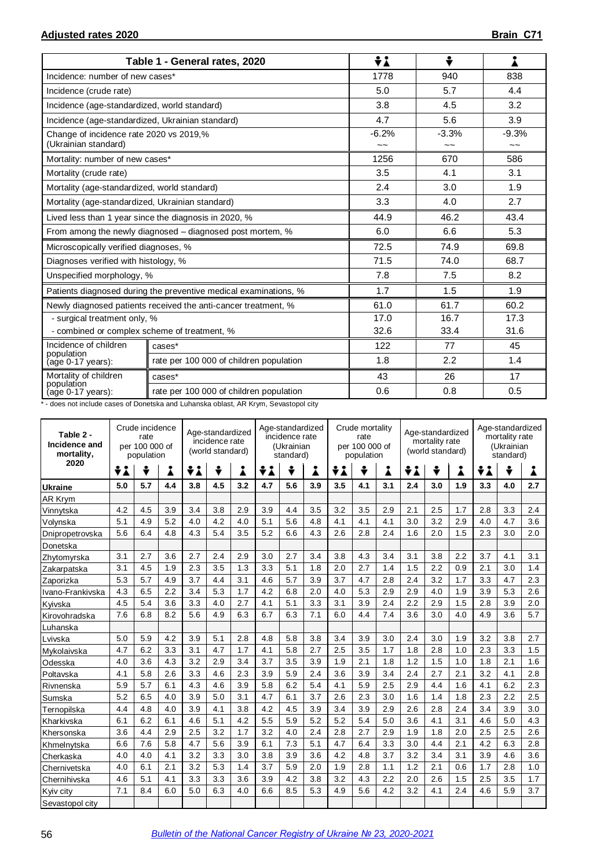|                                                                 | Table 1 - General rates, 2020                                    | ÷i            | ÷                        | i                        |  |
|-----------------------------------------------------------------|------------------------------------------------------------------|---------------|--------------------------|--------------------------|--|
| Incidence: number of new cases*                                 |                                                                  | 1778          | 940                      | 838                      |  |
| Incidence (crude rate)                                          |                                                                  | 5.0           | 5.7                      | 4.4                      |  |
| Incidence (age-standardized, world standard)                    |                                                                  | 3.8           | 4.5                      | 3.2                      |  |
| Incidence (age-standardized, Ukrainian standard)                |                                                                  | 4.7           | 5.6                      | 3.9                      |  |
| Change of incidence rate 2020 vs 2019,%<br>(Ukrainian standard) |                                                                  | $-6.2%$<br>~~ | $-3.3%$<br>$\sim$ $\sim$ | $-9.3%$<br>$\sim$ $\sim$ |  |
| Mortality: number of new cases*                                 |                                                                  | 1256          | 670                      | 586                      |  |
| Mortality (crude rate)                                          |                                                                  | 3.5           | 4.1                      | 3.1                      |  |
| Mortality (age-standardized, world standard)                    |                                                                  | 2.4           | 3.0                      | 1.9                      |  |
| Mortality (age-standardized, Ukrainian standard)                |                                                                  | 3.3           | 4.0                      | 2.7                      |  |
|                                                                 | Lived less than 1 year since the diagnosis in 2020, %            | 44.9          | 46.2                     | 43.4                     |  |
|                                                                 | From among the newly diagnosed – diagnosed post mortem, %        | 6.0           | 6.6                      | 5.3                      |  |
| Microscopically verified diagnoses, %                           |                                                                  | 72.5          | 74.9                     | 69.8                     |  |
| Diagnoses verified with histology, %                            |                                                                  | 71.5          | 74.0                     | 68.7                     |  |
| Unspecified morphology, %                                       |                                                                  | 7.8           | 7.5                      | 8.2                      |  |
|                                                                 | Patients diagnosed during the preventive medical examinations, % | 1.7           | 1.5                      | 1.9                      |  |
|                                                                 | Newly diagnosed patients received the anti-cancer treatment, %   | 61.0          | 61.7                     | 60.2                     |  |
| - surgical treatment only, %                                    |                                                                  | 17.0          | 16.7<br>17.3             |                          |  |
| - combined or complex scheme of treatment, %                    |                                                                  | 32.6          | 33.4                     | 31.6                     |  |
| Incidence of children<br>population                             | cases*                                                           | 122           | 77                       | 45                       |  |
| (age 0-17 years):                                               | rate per 100 000 of children population                          | 1.8           | 2.2                      | 1.4                      |  |
| Mortality of children                                           | cases*                                                           | 43            | 26                       | 17                       |  |
| population<br>(age 0-17 years):                                 | rate per 100 000 of children population                          | 0.6           | 0.8                      | 0.5                      |  |

\* - does not include cases of Donetska and Luhanska oblast, AR Krym, Sevastopol city

| Table 2 -<br>Incidence and<br>mortality, | Crude incidence<br>rate<br>per 100 000 of<br>population |     |     | Age-standardized<br>incidence rate<br>(world standard) |     |     | Age-standardized<br>incidence rate<br>(Ukrainian<br>standard) |     |     | Crude mortality<br>rate<br>per 100 000 of<br>population |     |     | Age-standardized<br>mortality rate<br>(world standard) |     |     | Age-standardized<br>mortality rate<br>(Ukrainian<br>standard) |     |     |
|------------------------------------------|---------------------------------------------------------|-----|-----|--------------------------------------------------------|-----|-----|---------------------------------------------------------------|-----|-----|---------------------------------------------------------|-----|-----|--------------------------------------------------------|-----|-----|---------------------------------------------------------------|-----|-----|
| 2020                                     | ÷i                                                      | ÷   | i   | ÷i                                                     | ÷   | i   | ÷i                                                            | ÷   | Å   | ÷i                                                      | ÷   | i   | ÷i                                                     | ÷   | Å   | ÷i                                                            | ÷   | Å   |
| Ukraine                                  | 5.0                                                     | 5.7 | 4.4 | 3.8                                                    | 4.5 | 3.2 | 4.7                                                           | 5.6 | 3.9 | 3.5                                                     | 4.1 | 3.1 | 2.4                                                    | 3.0 | 1.9 | 3.3                                                           | 4.0 | 2.7 |
| <b>AR Krym</b>                           |                                                         |     |     |                                                        |     |     |                                                               |     |     |                                                         |     |     |                                                        |     |     |                                                               |     |     |
| Vinnytska                                | 4.2                                                     | 4.5 | 3.9 | 3.4                                                    | 3.8 | 2.9 | 3.9                                                           | 4.4 | 3.5 | 3.2                                                     | 3.5 | 2.9 | 2.1                                                    | 2.5 | 1.7 | 2.8                                                           | 3.3 | 2.4 |
| Volynska                                 | 5.1                                                     | 4.9 | 5.2 | 4.0                                                    | 4.2 | 4.0 | 5.1                                                           | 5.6 | 4.8 | 4.1                                                     | 4.1 | 4.1 | 3.0                                                    | 3.2 | 2.9 | 4.0                                                           | 4.7 | 3.6 |
| Dnipropetrovska                          | 5.6                                                     | 6.4 | 4.8 | 4.3                                                    | 5.4 | 3.5 | 5.2                                                           | 6.6 | 4.3 | 2.6                                                     | 2.8 | 2.4 | 1.6                                                    | 2.0 | 1.5 | 2.3                                                           | 3.0 | 2.0 |
| Donetska                                 |                                                         |     |     |                                                        |     |     |                                                               |     |     |                                                         |     |     |                                                        |     |     |                                                               |     |     |
| Zhytomyrska                              | 3.1                                                     | 2.7 | 3.6 | 2.7                                                    | 2.4 | 2.9 | 3.0                                                           | 2.7 | 3.4 | 3.8                                                     | 4.3 | 3.4 | 3.1                                                    | 3.8 | 2.2 | 3.7                                                           | 4.1 | 3.1 |
| Zakarpatska                              | 3.1                                                     | 4.5 | 1.9 | 2.3                                                    | 3.5 | 1.3 | 3.3                                                           | 5.1 | 1.8 | 2.0                                                     | 2.7 | 1.4 | 1.5                                                    | 2.2 | 0.9 | 2.1                                                           | 3.0 | 1.4 |
| Zaporizka                                | 5.3                                                     | 5.7 | 4.9 | 3.7                                                    | 4.4 | 3.1 | 4.6                                                           | 5.7 | 3.9 | 3.7                                                     | 4.7 | 2.8 | 2.4                                                    | 3.2 | 1.7 | 3.3                                                           | 4.7 | 2.3 |
| Ivano-Frankivska                         | 4.3                                                     | 6.5 | 2.2 | 3.4                                                    | 5.3 | 1.7 | 4.2                                                           | 6.8 | 2.0 | 4.0                                                     | 5.3 | 2.9 | 2.9                                                    | 4.0 | 1.9 | 3.9                                                           | 5.3 | 2.6 |
| Kyivska                                  | 4.5                                                     | 5.4 | 3.6 | 3.3                                                    | 4.0 | 2.7 | 4.1                                                           | 5.1 | 3.3 | 3.1                                                     | 3.9 | 2.4 | 2.2                                                    | 2.9 | 1.5 | 2.8                                                           | 3.9 | 2.0 |
| Kirovohradska                            | 7.6                                                     | 6.8 | 8.2 | 5.6                                                    | 4.9 | 6.3 | 6.7                                                           | 6.3 | 7.1 | 6.0                                                     | 4.4 | 7.4 | 3.6                                                    | 3.0 | 4.0 | 4.9                                                           | 3.6 | 5.7 |
| Luhanska                                 |                                                         |     |     |                                                        |     |     |                                                               |     |     |                                                         |     |     |                                                        |     |     |                                                               |     |     |
| Lvivska                                  | 5.0                                                     | 5.9 | 4.2 | 3.9                                                    | 5.1 | 2.8 | 4.8                                                           | 5.8 | 3.8 | 3.4                                                     | 3.9 | 3.0 | 2.4                                                    | 3.0 | 1.9 | 3.2                                                           | 3.8 | 2.7 |
| Mykolaivska                              | 4.7                                                     | 6.2 | 3.3 | 3.1                                                    | 4.7 | 1.7 | 4.1                                                           | 5.8 | 2.7 | 2.5                                                     | 3.5 | 1.7 | 1.8                                                    | 2.8 | 1.0 | 2.3                                                           | 3.3 | 1.5 |
| Odesska                                  | 4.0                                                     | 3.6 | 4.3 | 3.2                                                    | 2.9 | 3.4 | 3.7                                                           | 3.5 | 3.9 | 1.9                                                     | 2.1 | 1.8 | 1.2                                                    | 1.5 | 1.0 | 1.8                                                           | 2.1 | 1.6 |
| Poltavska                                | 4.1                                                     | 5.8 | 2.6 | 3.3                                                    | 4.6 | 2.3 | 3.9                                                           | 5.9 | 2.4 | 3.6                                                     | 3.9 | 3.4 | 2.4                                                    | 2.7 | 2.1 | 3.2                                                           | 4.1 | 2.8 |
| Rivnenska                                | 5.9                                                     | 5.7 | 6.1 | 4.3                                                    | 4.6 | 3.9 | 5.8                                                           | 6.2 | 5.4 | 4.1                                                     | 5.9 | 2.5 | 2.9                                                    | 4.4 | 1.6 | 4.1                                                           | 6.2 | 2.3 |
| Sumska                                   | 5.2                                                     | 6.5 | 4.0 | 3.9                                                    | 5.0 | 3.1 | 4.7                                                           | 6.1 | 3.7 | 2.6                                                     | 2.3 | 3.0 | 1.6                                                    | 1.4 | 1.8 | 2.3                                                           | 2.2 | 2.5 |
| Ternopilska                              | 4.4                                                     | 4.8 | 4.0 | 3.9                                                    | 4.1 | 3.8 | 4.2                                                           | 4.5 | 3.9 | 3.4                                                     | 3.9 | 2.9 | 2.6                                                    | 2.8 | 2.4 | 3.4                                                           | 3.9 | 3.0 |
| Kharkivska                               | 6.1                                                     | 6.2 | 6.1 | 4.6                                                    | 5.1 | 4.2 | 5.5                                                           | 5.9 | 5.2 | 5.2                                                     | 5.4 | 5.0 | 3.6                                                    | 4.1 | 3.1 | 4.6                                                           | 5.0 | 4.3 |
| Khersonska                               | 3.6                                                     | 4.4 | 2.9 | 2.5                                                    | 3.2 | 1.7 | 3.2                                                           | 4.0 | 2.4 | 2.8                                                     | 2.7 | 2.9 | 1.9                                                    | 1.8 | 2.0 | 2.5                                                           | 2.5 | 2.6 |
| Khmelnytska                              | 6.6                                                     | 7.6 | 5.8 | 4.7                                                    | 5.6 | 3.9 | 6.1                                                           | 7.3 | 5.1 | 4.7                                                     | 6.4 | 3.3 | 3.0                                                    | 4.4 | 2.1 | 4.2                                                           | 6.3 | 2.8 |
| Cherkaska                                | 4.0                                                     | 4.0 | 4.1 | 3.2                                                    | 3.3 | 3.0 | 3.8                                                           | 3.9 | 3.6 | 4.2                                                     | 4.8 | 3.7 | 3.2                                                    | 3.4 | 3.1 | 3.9                                                           | 4.6 | 3.6 |
| Chernivetska                             | 4.0                                                     | 6.1 | 2.1 | 3.2                                                    | 5.3 | 1.4 | 3.7                                                           | 5.9 | 2.0 | 1.9                                                     | 2.8 | 1.1 | 1.2                                                    | 2.1 | 0.6 | 1.7                                                           | 2.8 | 1.0 |
| Chernihivska                             | 4.6                                                     | 5.1 | 4.1 | 3.3                                                    | 3.3 | 3.6 | 3.9                                                           | 4.2 | 3.8 | 3.2                                                     | 4.3 | 2.2 | 2.0                                                    | 2.6 | 1.5 | 2.5                                                           | 3.5 | 1.7 |
| Kyiv city                                | 7.1                                                     | 8.4 | 6.0 | 5.0                                                    | 6.3 | 4.0 | 6.6                                                           | 8.5 | 5.3 | 4.9                                                     | 5.6 | 4.2 | 3.2                                                    | 4.1 | 2.4 | 4.6                                                           | 5.9 | 3.7 |
| Sevastopol city                          |                                                         |     |     |                                                        |     |     |                                                               |     |     |                                                         |     |     |                                                        |     |     |                                                               |     |     |